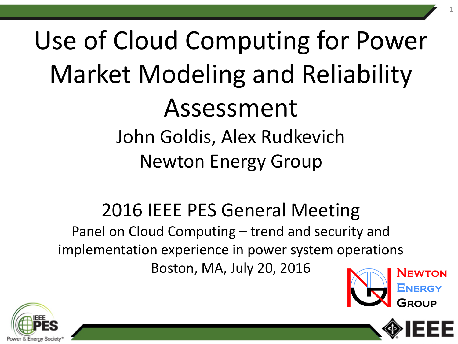# Use of Cloud Computing for Power Market Modeling and Reliability Assessment John Goldis, Alex Rudkevich Newton Energy Group

### 2016 IEEE PES General Meeting

Panel on Cloud Computing – trend and security and implementation experience in power system operations Boston, MA, July 20, 2016





1

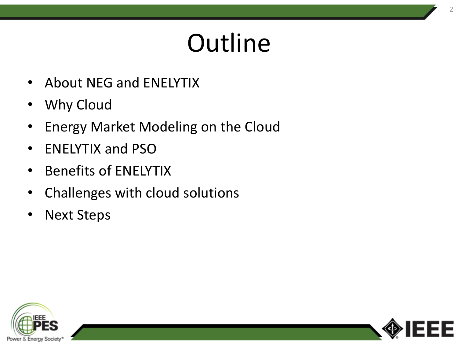# **Outline**

- About NEG and ENELYTIX
- Why Cloud
- Energy Market Modeling on the Cloud
- ENELYTIX and PSO
- Benefits of ENELYTIX
- Challenges with cloud solutions
- Next Steps



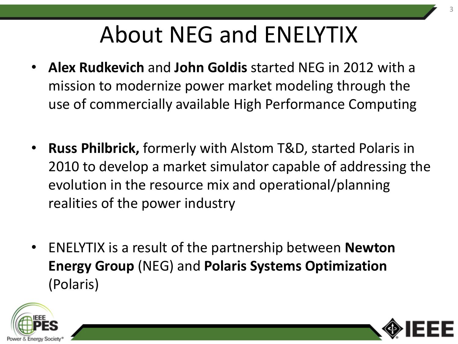# About NEG and ENELYTIX

- **Alex Rudkevich** and **John Goldis** started NEG in 2012 with a mission to modernize power market modeling through the use of commercially available High Performance Computing
- **Russ Philbrick,** formerly with Alstom T&D, started Polaris in 2010 to develop a market simulator capable of addressing the evolution in the resource mix and operational/planning realities of the power industry
- ENELYTIX is a result of the partnership between **Newton Energy Group** (NEG) and **Polaris Systems Optimization**  (Polaris)



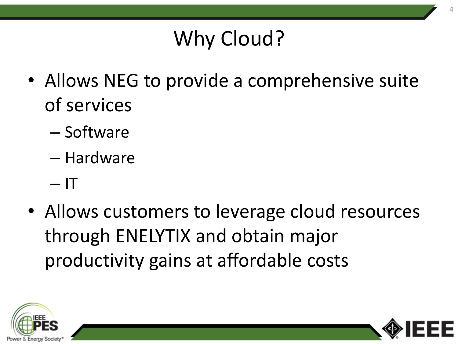### Why Cloud?

- Allows NEG to provide a comprehensive suite of services
	- Software
	- Hardware
	- $-1$ T
- Allows customers to leverage cloud resources through ENELYTIX and obtain major productivity gains at affordable costs



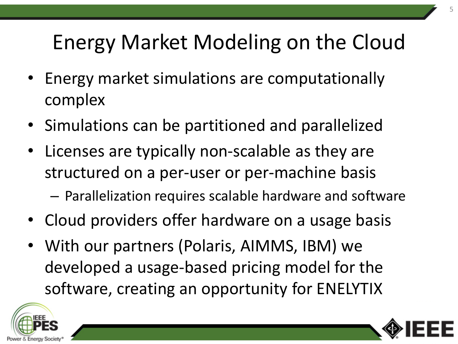### Energy Market Modeling on the Cloud

- Energy market simulations are computationally complex
- Simulations can be partitioned and parallelized
- Licenses are typically non-scalable as they are structured on a per-user or per-machine basis
	- Parallelization requires scalable hardware and software
- Cloud providers offer hardware on a usage basis
- With our partners (Polaris, AIMMS, IBM) we developed a usage-based pricing model for the software, creating an opportunity for ENELYTIX



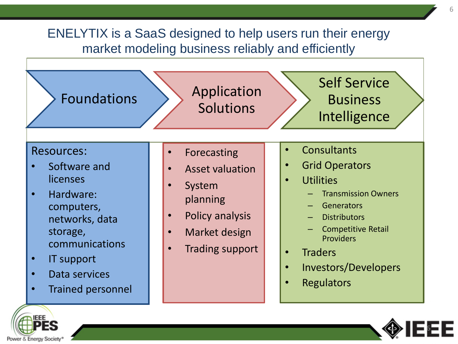### ENELYTIX is a SaaS designed to help users run their energy market modeling business reliably and efficiently





6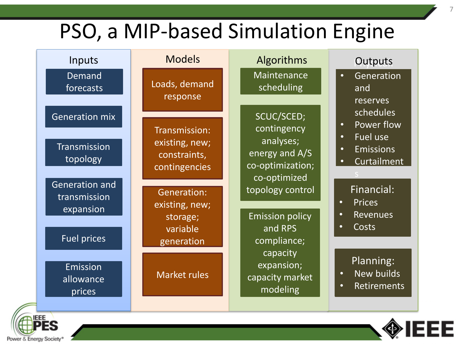### PSO, a MIP-based Simulation Engine

| Inputs                                                | <b>Models</b>                                                    | Algorithms                                                                   | Outputs                                                                                                              |
|-------------------------------------------------------|------------------------------------------------------------------|------------------------------------------------------------------------------|----------------------------------------------------------------------------------------------------------------------|
| Demand<br>forecasts                                   | Loads, demand<br>response                                        | Maintenance<br>scheduling                                                    | Generation<br>$\bullet$<br>and<br>reserves                                                                           |
| <b>Generation mix</b><br>Transmission<br>topology     | Transmission:<br>existing, new;<br>constraints,<br>contingencies | SCUC/SCED;<br>contingency<br>analyses;<br>energy and A/S<br>co-optimization; | schedules<br>Power flow<br>$\bullet$<br>Fuel use<br>$\bullet$<br><b>Emissions</b><br>$\bullet$<br><b>Curtailment</b> |
| <b>Generation and</b><br>transmission<br>expansion    | <b>Generation:</b><br>existing, new;<br>storage;<br>variable     | co-optimized<br>topology control<br><b>Emission policy</b><br>and RPS        | Financial:<br><b>Prices</b><br>$\bullet$<br>Revenues<br>$\bullet$<br>Costs<br>$\bullet$                              |
| <b>Fuel prices</b><br>Emission<br>allowance<br>prices | generation<br><b>Market rules</b>                                | compliance;<br>capacity<br>expansion;<br>capacity market<br>modeling         | Planning:<br>New builds<br>$\bullet$<br>Retirements<br>$\bullet$                                                     |
| ---                                                   |                                                                  |                                                                              |                                                                                                                      |



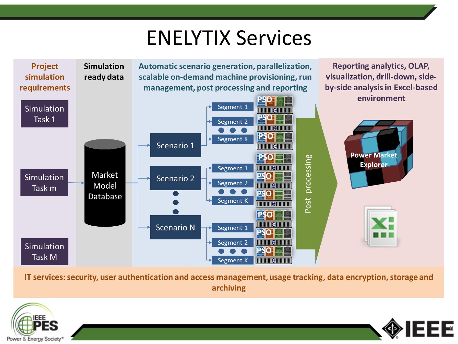### ENELYTIX Services



IT services: security, user authentication and access management, usage tracking, data encryption, storage and archiving



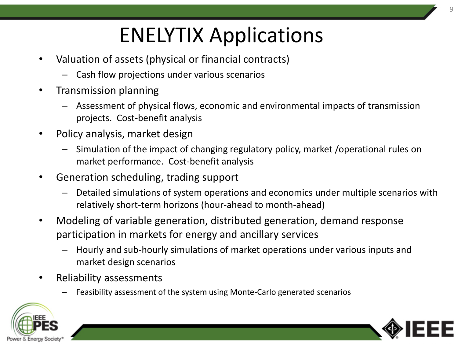## ENELYTIX Applications

- Valuation of assets (physical or financial contracts)
	- Cash flow projections under various scenarios
- Transmission planning
	- Assessment of physical flows, economic and environmental impacts of transmission projects. Cost-benefit analysis
- Policy analysis, market design
	- Simulation of the impact of changing regulatory policy, market /operational rules on market performance. Cost-benefit analysis
- Generation scheduling, trading support
	- Detailed simulations of system operations and economics under multiple scenarios with relatively short-term horizons (hour-ahead to month-ahead)
- Modeling of variable generation, distributed generation, demand response participation in markets for energy and ancillary services
	- Hourly and sub-hourly simulations of market operations under various inputs and market design scenarios
- Reliability assessments
	- Feasibility assessment of the system using Monte-Carlo generated scenarios



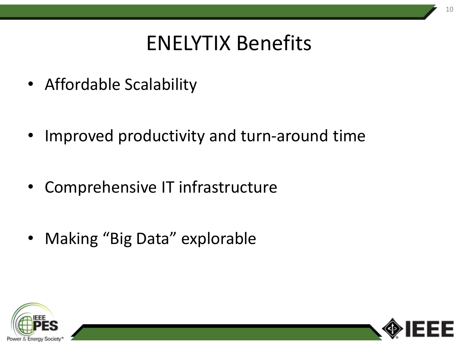### ENELYTIX Benefits

- Affordable Scalability
- Improved productivity and turn-around time
- Comprehensive IT infrastructure
- Making "Big Data" explorable



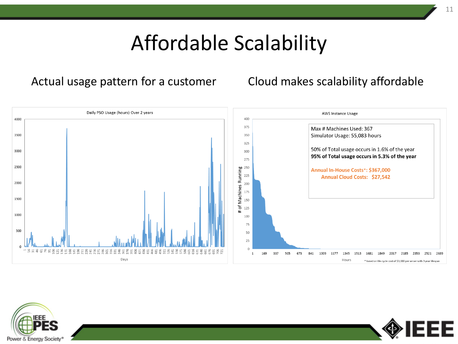### Affordable Scalability

#### Actual usage pattern for a customer Cloud makes scalability affordable





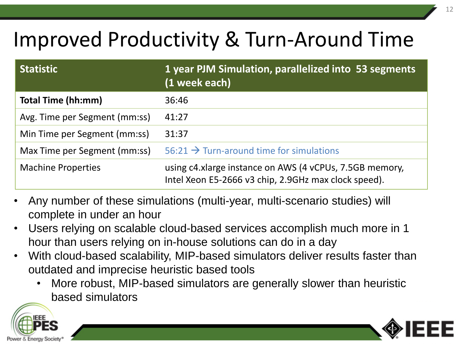### Improved Productivity & Turn-Around Time

| <b>Statistic</b>              | 1 year PJM Simulation, parallelized into 53 segments<br>(1 week each)                                           |
|-------------------------------|-----------------------------------------------------------------------------------------------------------------|
| <b>Total Time (hh:mm)</b>     | 36:46                                                                                                           |
| Avg. Time per Segment (mm:ss) | 41:27                                                                                                           |
| Min Time per Segment (mm:ss)  | 31:37                                                                                                           |
| Max Time per Segment (mm:ss)  | 56:21 $\rightarrow$ Turn-around time for simulations                                                            |
| <b>Machine Properties</b>     | using c4.xlarge instance on AWS (4 vCPUs, 7.5GB memory,<br>Intel Xeon E5-2666 v3 chip, 2.9GHz max clock speed). |

- Any number of these simulations (multi-year, multi-scenario studies) will complete in under an hour
- Users relying on scalable cloud-based services accomplish much more in 1 hour than users relying on in-house solutions can do in a day
- With cloud-based scalability, MIP-based simulators deliver results faster than outdated and imprecise heuristic based tools
	- More robust, MIP-based simulators are generally slower than heuristic based simulators



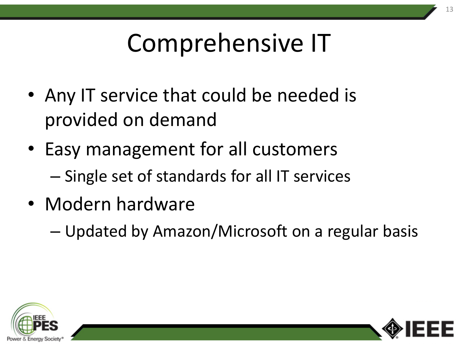# Comprehensive IT

- Any IT service that could be needed is provided on demand
- Easy management for all customers – Single set of standards for all IT services
- Modern hardware
	- Updated by Amazon/Microsoft on a regular basis



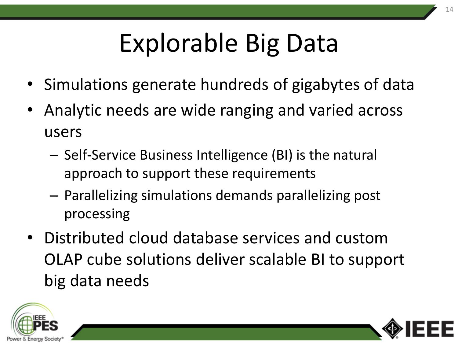# Explorable Big Data

- Simulations generate hundreds of gigabytes of data
- Analytic needs are wide ranging and varied across users
	- Self-Service Business Intelligence (BI) is the natural approach to support these requirements
	- Parallelizing simulations demands parallelizing post processing
- Distributed cloud database services and custom OLAP cube solutions deliver scalable BI to support big data needs



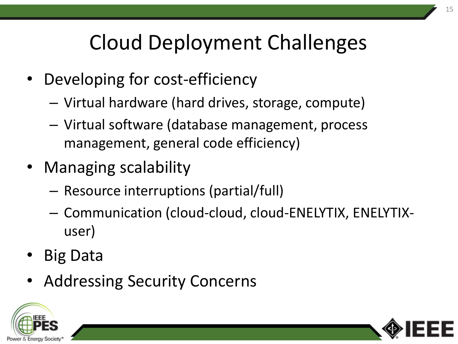### Cloud Deployment Challenges

- Developing for cost-efficiency
	- Virtual hardware (hard drives, storage, compute)
	- Virtual software (database management, process management, general code efficiency)
- Managing scalability
	- Resource interruptions (partial/full)
	- Communication (cloud-cloud, cloud-ENELYTIX, ENELYTIXuser)
- Big Data
- Addressing Security Concerns



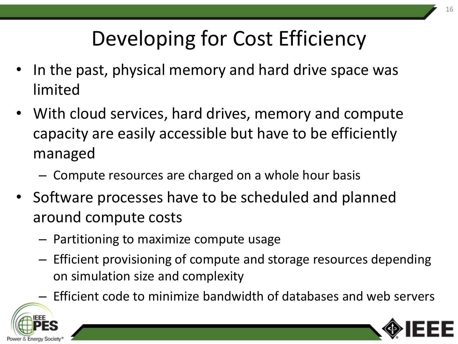## Developing for Cost Efficiency

- In the past, physical memory and hard drive space was limited
- With cloud services, hard drives, memory and compute capacity are easily accessible but have to be efficiently managed
	- Compute resources are charged on a whole hour basis
- Software processes have to be scheduled and planned around compute costs
	- Partitioning to maximize compute usage
	- Efficient provisioning of compute and storage resources depending on simulation size and complexity
	- Efficient code to minimize bandwidth of databases and web servers



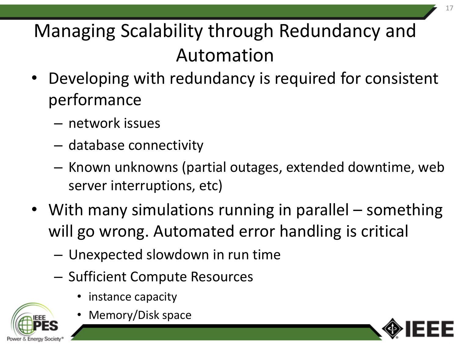Managing Scalability through Redundancy and Automation

- Developing with redundancy is required for consistent performance
	- network issues
	- database connectivity
	- Known unknowns (partial outages, extended downtime, web server interruptions, etc)
- With many simulations running in parallel something will go wrong. Automated error handling is critical
	- Unexpected slowdown in run time
	- Sufficient Compute Resources
		- instance capacity



• Memory/Disk space

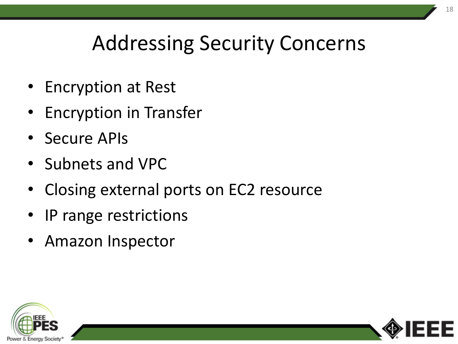### Addressing Security Concerns

- Encryption at Rest
- Encryption in Transfer
- Secure APIs
- Subnets and VPC
- Closing external ports on EC2 resource
- IP range restrictions
- Amazon Inspector



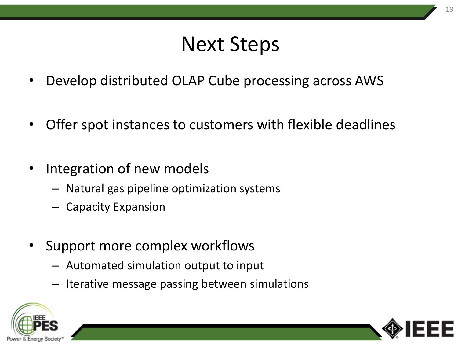### Next Steps

- Develop distributed OLAP Cube processing across AWS
- Offer spot instances to customers with flexible deadlines
- Integration of new models
	- Natural gas pipeline optimization systems
	- Capacity Expansion
- Support more complex workflows
	- Automated simulation output to input
	- Iterative message passing between simulations